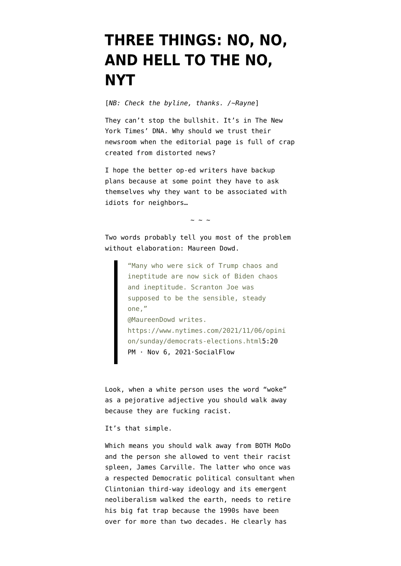## **[THREE THINGS: NO, NO,](https://www.emptywheel.net/2021/11/12/three-things-no-no-and-hell-to-the-no-nyt/) [AND HELL TO THE NO,](https://www.emptywheel.net/2021/11/12/three-things-no-no-and-hell-to-the-no-nyt/) [NYT](https://www.emptywheel.net/2021/11/12/three-things-no-no-and-hell-to-the-no-nyt/)**

[*NB: Check the byline, thanks. /~Rayne*]

They can't stop the bullshit. It's in The New York Times' DNA. Why should we trust their newsroom when the editorial page is full of crap created from distorted news?

I hope the better op-ed writers have backup plans because at some point they have to ask themselves why they want to be associated with idiots for neighbors…

 $\sim$  ~ ~

Two words probably tell you most of the problem without elaboration: Maureen Dowd.

> "Many who were sick of Trump chaos and ineptitude are now sick of Biden chaos and ineptitude. Scranton Joe was supposed to be the sensible, steady one," @MaureenDowd writes. https://www.nytimes.com/2021/11/06/opini on/sunday/democrats-elections.htm[l5:20](https://twitter.com/nytimes/status/1457095477195837446?ref_src=twsrc%5Etfw) [PM · Nov 6, 2021·SocialFlow](https://twitter.com/nytimes/status/1457095477195837446?ref_src=twsrc%5Etfw)

Look, when a white person uses the word "woke" as a pejorative adjective you should walk away because they are fucking racist.

It's that simple.

Which means you should walk away from BOTH MoDo and the person she allowed to vent their racist spleen, [James Carville](https://en.wikipedia.org/wiki/James_Carville). The latter who once was a respected Democratic political consultant when Clintonian [third-way ideology](https://en.wikipedia.org/wiki/Third_Way) and its emergent neoliberalism walked the earth, needs to retire his big fat trap because the 1990s have been over for more than two decades. He clearly has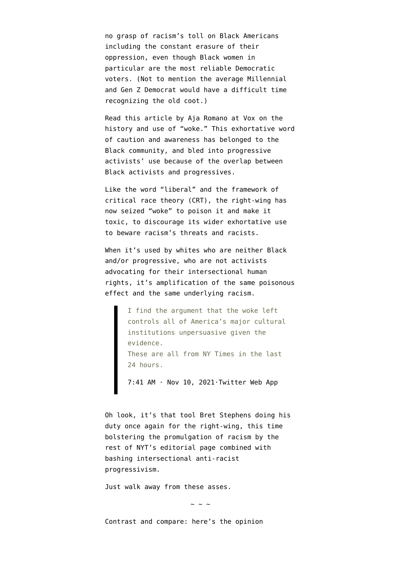no grasp of racism's toll on Black Americans including the constant erasure of their oppression, even though Black women in particular are the most reliable Democratic voters. (Not to mention the average Millennial and Gen Z Democrat would have a difficult time recognizing the old coot.)

Read this article by Aja Romano at Vox on [the](https://www.vox.com/culture/21437879/stay-woke-wokeness-history-origin-evolution-controversy) [history and use of "woke."](https://www.vox.com/culture/21437879/stay-woke-wokeness-history-origin-evolution-controversy) This exhortative word of caution and awareness has belonged to the Black community, and bled into progressive activists' use because of the overlap between Black activists and progressives.

Like the word "liberal" and the framework of critical race theory (CRT), the right-wing has now seized "woke" to poison it and make it toxic, to discourage its wider exhortative use to beware racism's threats and racists.

When it's used by whites who are neither Black and/or progressive, who are not activists advocating for their intersectional human rights, it's amplification of the same poisonous effect and the same underlying racism.

> I find the argument that the woke left controls all of America's major cultural institutions unpersuasive given the evidence. These are all from NY Times in the last 24 hours.

[7:41 AM · Nov 10, 2021·Twitter Web App](https://twitter.com/NGrossman81/status/1458414625435815937?ref_src=twsrc%5Etfw)

Oh look, it's that tool Bret Stephens doing his duty once again for the right-wing, this time bolstering the promulgation of racism by the rest of NYT's editorial page combined with bashing intersectional anti-racist progressivism.

Just walk away from these asses.

 $\sim$  ~ ~

Contrast and compare: here's the opinion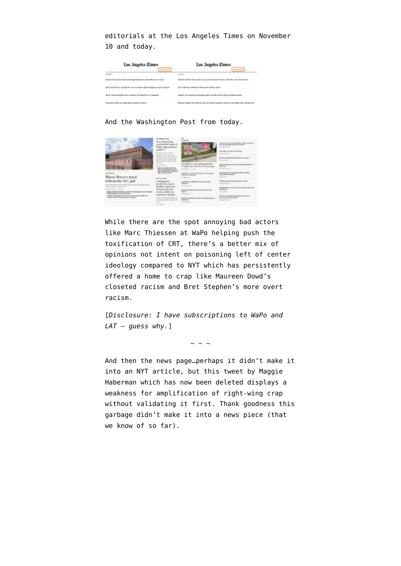editorials at the Los Angeles Times on November 10 and today.



## And the Washington Post from today.



While there are the spot annoying bad actors like Marc Thiessen at WaPo helping push the toxification of CRT, there's a better mix of opinions not intent on poisoning left of center ideology compared to NYT which has persistently offered a home to crap like Maureen Dowd's closeted racism and Bret Stephen's more overt racism.

[*Disclosure: I have subscriptions to WaPo and LAT — guess why.*]

 $\sim$  ~ ~

And then the news page…perhaps it didn't make it into an NYT article, but this tweet by Maggie Haberman which has now been deleted displays a weakness for amplification of right-wing crap without validating it first. Thank goodness this garbage didn't make it into a news piece (that we know of so far).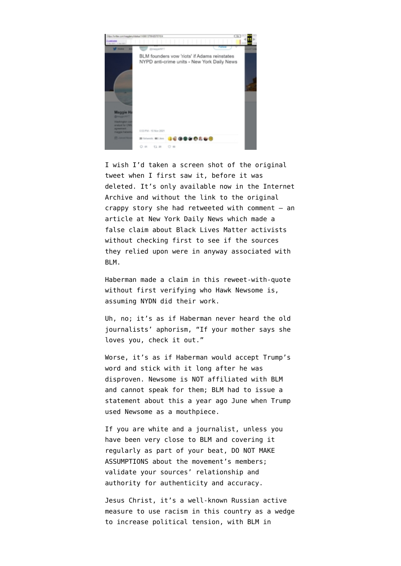

I wish I'd taken a screen shot of the [original](https://web.archive.org/web/20211111144020/https://t.co/pDn1Iv7Dbn) [tweet](https://web.archive.org/web/20211111144020/https://t.co/pDn1Iv7Dbn) when I first saw it, before it was deleted. It's [only available now in the Internet](https://web.archive.org/web/20211111023614/https://twitter.com/maggienyt/status/1458613795425767434) [Archive](https://web.archive.org/web/20211111023614/https://twitter.com/maggienyt/status/1458613795425767434) and without the link to the original crappy story she had retweeted with comment — an [article at New York Daily News](https://web.archive.org/web/20211112175106/https://www.nydailynews.com/news/politics/nyc-elections-2021/ny-blm-activists-threaten-riots-if-adams-reinstates-anti-crime-units-20211111-ssspwittbng6rd4xtr4odghkfe-story.html) which made a false claim about Black Lives Matter activists without checking first to see if the sources they relied upon were in anyway associated with BLM.

Haberman made a claim in this reweet-with-quote without first verifying who Hawk Newsome is, assuming NYDN did their work.

Uh, no; it's as if Haberman never heard the old journalists' aphorism, "[If your mother says she](https://www.poynter.org/reporting-editing/2003/if-your-mother-says-she-loves-you-a-reporters-cautionary-tale/) [loves you, check it out."](https://www.poynter.org/reporting-editing/2003/if-your-mother-says-she-loves-you-a-reporters-cautionary-tale/)

Worse, it's as if Haberman would accept Trump's word and stick with it long after he was disproven. Newsome is NOT affiliated with BLM and cannot speak for them; BLM had t[o issue a](https://twitter.com/ParkerMolloy/status/1458806663142686720) [statement about this a year ago June](https://twitter.com/ParkerMolloy/status/1458806663142686720) when Trump used Newsome as a mouthpiece.

If you are white and a journalist, unless you have been very close to BLM and covering it regularly as part of your beat, DO NOT MAKE ASSUMPTIONS about the movement's members; validate your sources' relationship and authority for authenticity and accuracy.

Jesus Christ, it's a well-known [Russian active](https://en.wikipedia.org/wiki/Russia_and_Black_Lives_Matter) [measure](https://en.wikipedia.org/wiki/Russia_and_Black_Lives_Matter) to use racism in this country as a wedge to increase political tension, with BLM in